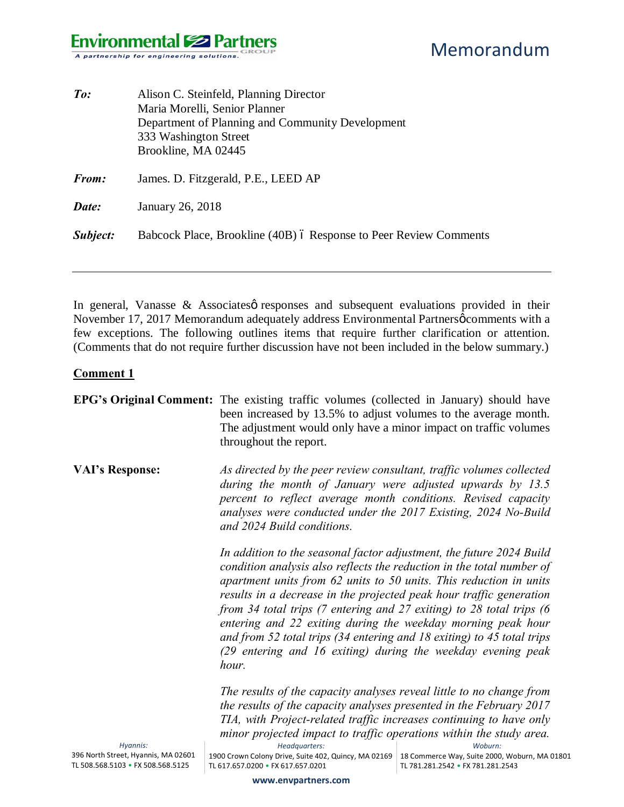| $\mathit{To}$ : | Alison C. Steinfeld, Planning Director<br>Maria Morelli, Senior Planner<br>Department of Planning and Community Development<br>333 Washington Street<br>Brookline, MA 02445 |  |
|-----------------|-----------------------------------------------------------------------------------------------------------------------------------------------------------------------------|--|
| From:           | James. D. Fitzgerald, P.E., LEED AP                                                                                                                                         |  |
| Date:           | January 26, 2018                                                                                                                                                            |  |
| Subject:        | Babcock Place, Brookline (40B) ó Response to Peer Review Comments                                                                                                           |  |

In general, Vanasse  $\&$  Associates presponses and subsequent evaluations provided in their November 17, 2017 Memorandum adequately address Environmental Partnersø comments with a few exceptions. The following outlines items that require further clarification or attention. (Comments that do not require further discussion have not been included in the below summary.)

#### **Comment 1**

|                                                 | <b>EPG's Original Comment:</b> The existing traffic volumes (collected in January) should have<br>been increased by 13.5% to adjust volumes to the average month.<br>The adjustment would only have a minor impact on traffic volumes<br>throughout the report.                                                                                                                                                                                                                                                                                                                       |                                                          |
|-------------------------------------------------|---------------------------------------------------------------------------------------------------------------------------------------------------------------------------------------------------------------------------------------------------------------------------------------------------------------------------------------------------------------------------------------------------------------------------------------------------------------------------------------------------------------------------------------------------------------------------------------|----------------------------------------------------------|
| <b>VAI's Response:</b>                          | As directed by the peer review consultant, traffic volumes collected<br>during the month of January were adjusted upwards by 13.5<br>percent to reflect average month conditions. Revised capacity<br>analyses were conducted under the 2017 Existing, 2024 No-Build<br>and 2024 Build conditions.                                                                                                                                                                                                                                                                                    |                                                          |
|                                                 | In addition to the seasonal factor adjustment, the future 2024 Build<br>condition analysis also reflects the reduction in the total number of<br>apartment units from 62 units to 50 units. This reduction in units<br>results in a decrease in the projected peak hour traffic generation<br>from 34 total trips (7 entering and 27 exiting) to 28 total trips (6<br>entering and 22 exiting during the weekday morning peak hour<br>and from 52 total trips (34 entering and 18 exiting) to 45 total trips<br>(29 entering and 16 exiting) during the weekday evening peak<br>hour. |                                                          |
|                                                 | The results of the capacity analyses reveal little to no change from<br>the results of the capacity analyses presented in the February 2017                                                                                                                                                                                                                                                                                                                                                                                                                                           |                                                          |
|                                                 | TIA, with Project-related traffic increases continuing to have only                                                                                                                                                                                                                                                                                                                                                                                                                                                                                                                   |                                                          |
|                                                 | minor projected impact to traffic operations within the study area.                                                                                                                                                                                                                                                                                                                                                                                                                                                                                                                   |                                                          |
| Hyannis:<br>396 North Street, Hyannis, MA 02601 | Headquarters:<br>1900 Crown Colony Drive, Suite 402, Quincy, MA 02169                                                                                                                                                                                                                                                                                                                                                                                                                                                                                                                 | Woburn:<br>18 Commerce Way, Suite 2000, Woburn, MA 01801 |
| TL 508.568.5103 • FX 508.568.5125               | TL 617.657.0200 • FX 617.657.0201                                                                                                                                                                                                                                                                                                                                                                                                                                                                                                                                                     | TL 781.281.2542 • FX 781.281.2543                        |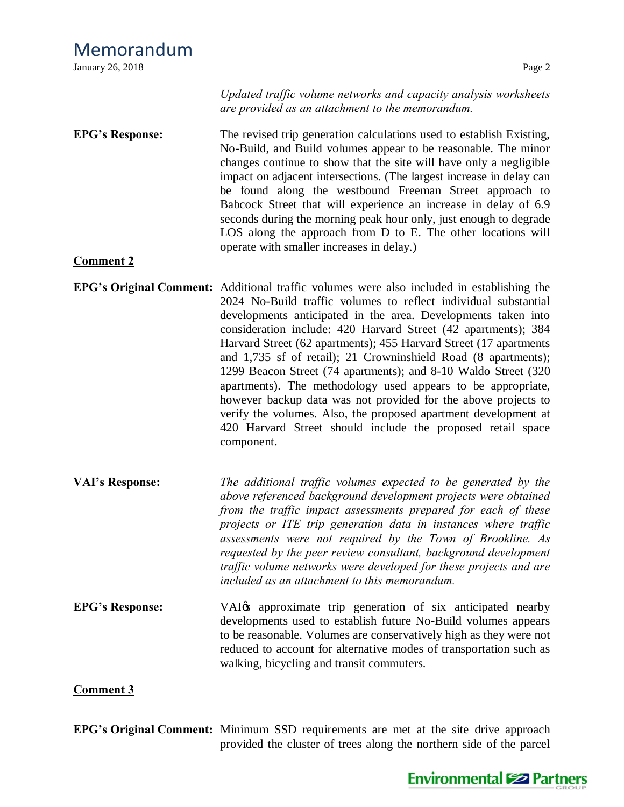| January 26, 2018 | Page 2 |
|------------------|--------|

*Updated traffic volume networks and capacity analysis worksheets are provided as an attachment to the memorandum.*

**EPG's Response:** The revised trip generation calculations used to establish Existing, No-Build, and Build volumes appear to be reasonable. The minor changes continue to show that the site will have only a negligible impact on adjacent intersections. (The largest increase in delay can be found along the westbound Freeman Street approach to Babcock Street that will experience an increase in delay of 6.9 seconds during the morning peak hour only, just enough to degrade LOS along the approach from D to E. The other locations will operate with smaller increases in delay.)

### **Comment 2**

- **EPG's Original Comment:** Additional traffic volumes were also included in establishing the 2024 No-Build traffic volumes to reflect individual substantial developments anticipated in the area. Developments taken into consideration include: 420 Harvard Street (42 apartments); 384 Harvard Street (62 apartments); 455 Harvard Street (17 apartments and 1,735 sf of retail); 21 Crowninshield Road (8 apartments); 1299 Beacon Street (74 apartments); and 8-10 Waldo Street (320 apartments). The methodology used appears to be appropriate, however backup data was not provided for the above projects to verify the volumes. Also, the proposed apartment development at 420 Harvard Street should include the proposed retail space component.
- **VAI's Response:** *The additional traffic volumes expected to be generated by the above referenced background development projects were obtained from the traffic impact assessments prepared for each of these projects or ITE trip generation data in instances where traffic assessments were not required by the Town of Brookline. As requested by the peer review consultant, background development traffic volume networks were developed for these projects and are included as an attachment to this memorandum.*
- **EPG**'s Response: VAI<sub>O</sub>'s VAI<sub>O</sub>'s VAI<sub>O</sub>'s approximate trip generation of six anticipated nearby developments used to establish future No-Build volumes appears to be reasonable. Volumes are conservatively high as they were not reduced to account for alternative modes of transportation such as walking, bicycling and transit commuters.

#### **Comment 3**

**EPG's Original Comment:** Minimum SSD requirements are met at the site drive approach provided the cluster of trees along the northern side of the parcel



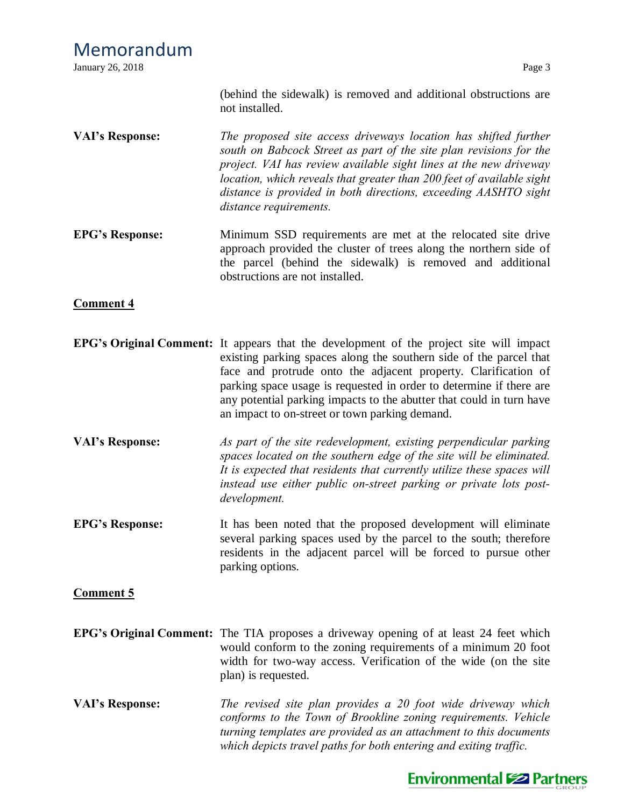(behind the sidewalk) is removed and additional obstructions are not installed.

- **VAI's Response:** *The proposed site access driveways location has shifted further south on Babcock Street as part of the site plan revisions for the project. VAI has review available sight lines at the new driveway location, which reveals that greater than 200 feet of available sight distance is provided in both directions, exceeding AASHTO sight distance requirements.*
- **EPG's Response:** Minimum SSD requirements are met at the relocated site drive approach provided the cluster of trees along the northern side of the parcel (behind the sidewalk) is removed and additional obstructions are not installed.

## **Comment 4**

- **EPG's Original Comment:** It appears that the development of the project site will impact existing parking spaces along the southern side of the parcel that face and protrude onto the adjacent property. Clarification of parking space usage is requested in order to determine if there are any potential parking impacts to the abutter that could in turn have an impact to on-street or town parking demand.
- **VAI's Response:** *As part of the site redevelopment, existing perpendicular parking spaces located on the southern edge of the site will be eliminated. It is expected that residents that currently utilize these spaces will instead use either public on-street parking or private lots postdevelopment.*
- **EPG's Response:** It has been noted that the proposed development will eliminate several parking spaces used by the parcel to the south; therefore residents in the adjacent parcel will be forced to pursue other parking options.

### **Comment 5**

- **EPG's Original Comment:** The TIA proposes a driveway opening of at least 24 feet which would conform to the zoning requirements of a minimum 20 foot width for two-way access. Verification of the wide (on the site plan) is requested.
- **VAI's Response:** *The revised site plan provides a 20 foot wide driveway which conforms to the Town of Brookline zoning requirements. Vehicle turning templates are provided as an attachment to this documents which depicts travel paths for both entering and exiting traffic.*

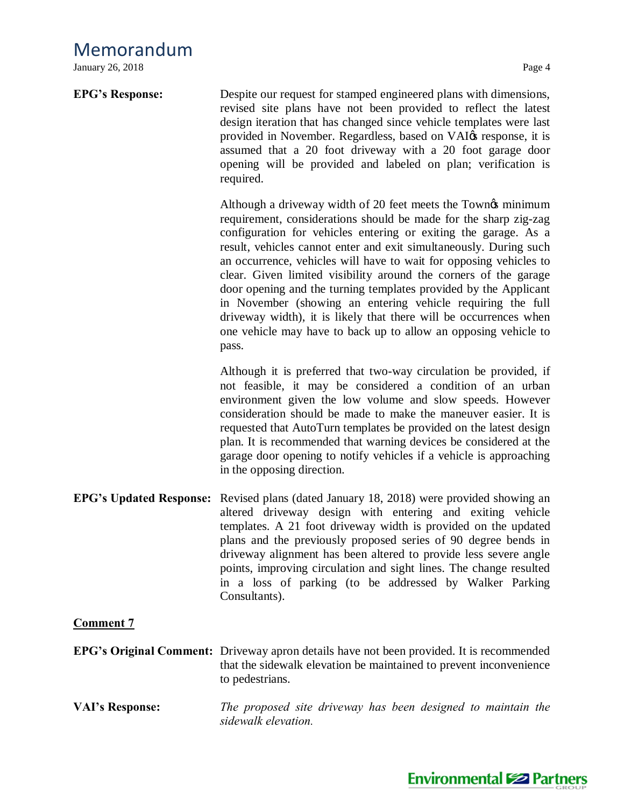January 26, 2018 Page 4

| <b>EPG's Response:</b>         | Despite our request for stamped engineered plans with dimensions,<br>revised site plans have not been provided to reflect the latest<br>design iteration that has changed since vehicle templates were last<br>provided in November. Regardless, based on VAI $\alpha$ response, it is<br>assumed that a 20 foot driveway with a 20 foot garage door<br>opening will be provided and labeled on plan; verification is<br>required.                                                                                                                                                                                                                                                                        |
|--------------------------------|-----------------------------------------------------------------------------------------------------------------------------------------------------------------------------------------------------------------------------------------------------------------------------------------------------------------------------------------------------------------------------------------------------------------------------------------------------------------------------------------------------------------------------------------------------------------------------------------------------------------------------------------------------------------------------------------------------------|
|                                | Although a driveway width of 20 feet meets the Town ps minimum<br>requirement, considerations should be made for the sharp zig-zag<br>configuration for vehicles entering or exiting the garage. As a<br>result, vehicles cannot enter and exit simultaneously. During such<br>an occurrence, vehicles will have to wait for opposing vehicles to<br>clear. Given limited visibility around the corners of the garage<br>door opening and the turning templates provided by the Applicant<br>in November (showing an entering vehicle requiring the full<br>driveway width), it is likely that there will be occurrences when<br>one vehicle may have to back up to allow an opposing vehicle to<br>pass. |
|                                | Although it is preferred that two-way circulation be provided, if<br>not feasible, it may be considered a condition of an urban<br>environment given the low volume and slow speeds. However<br>consideration should be made to make the maneuver easier. It is<br>requested that AutoTurn templates be provided on the latest design<br>plan. It is recommended that warning devices be considered at the<br>garage door opening to notify vehicles if a vehicle is approaching<br>in the opposing direction.                                                                                                                                                                                            |
| <b>EPG's Updated Response:</b> | Revised plans (dated January 18, 2018) were provided showing an<br>altered driveway design with entering and exiting vehicle<br>templates. A 21 foot driveway width is provided on the updated<br>plans and the previously proposed series of 90 degree bends in<br>driveway alignment has been altered to provide less severe angle<br>points, improving circulation and sight lines. The change resulted<br>in a loss of parking (to be addressed by Walker Parking<br>Consultants).                                                                                                                                                                                                                    |
| <b>Comment 7</b>               |                                                                                                                                                                                                                                                                                                                                                                                                                                                                                                                                                                                                                                                                                                           |
|                                | <b>EPG's Original Comment:</b> Driveway apron details have not been provided. It is recommended<br>that the sidewalk elevation be maintained to prevent inconvenience<br>to pedestrians.                                                                                                                                                                                                                                                                                                                                                                                                                                                                                                                  |
| <b>VAI's Response:</b>         | The proposed site driveway has been designed to maintain the<br>sidewalk elevation.                                                                                                                                                                                                                                                                                                                                                                                                                                                                                                                                                                                                                       |